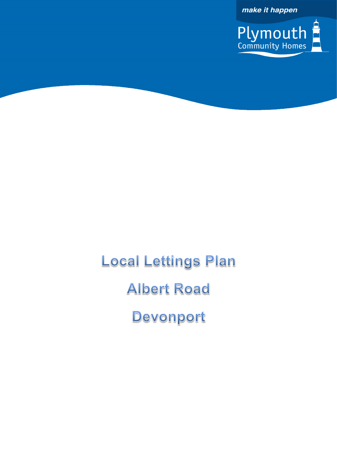make it happen



**Local Lettings Plan Albert Road** Devonport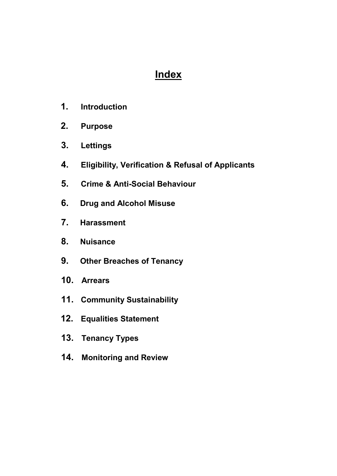# **Index**

- **1. Introduction**
- **2. Purpose**
- **3. Lettings**
- **4. Eligibility, Verification & Refusal of Applicants**
- **5. Crime & Anti-Social Behaviour**
- **6. Drug and Alcohol Misuse**
- **7. Harassment**
- **8. Nuisance**
- **9. Other Breaches of Tenancy**
- **10. Arrears**
- **11. Community Sustainability**
- **12. Equalities Statement**
- **13. Tenancy Types**
- **14. Monitoring and Review**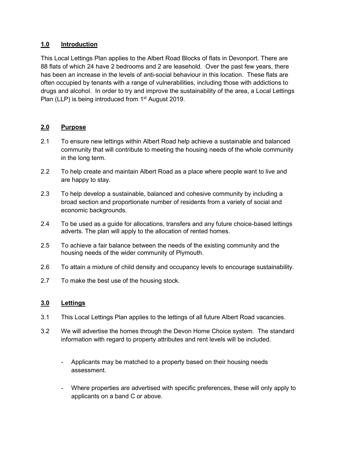## **1.0 Introduction**

This Local Lettings Plan applies to the Albert Road Blocks of flats in Devonport. There are 88 flats of which 24 have 2 bedrooms and 2 are leasehold. Over the past few years, there has been an increase in the levels of anti-social behaviour in this location. These flats are often occupied by tenants with a range of vulnerabilities, including those with addictions to drugs and alcohol. In order to try and improve the sustainability of the area, a Local Lettings Plan (LLP) is being introduced from 1<sup>st</sup> August 2019.

## **2.0 Purpose**

- 2.1 To ensure new lettings within Albert Road help achieve a sustainable and balanced community that will contribute to meeting the housing needs of the whole community in the long term.
- 2.2 To help create and maintain Albert Road as a place where people want to live and are happy to stay.
- 2.3 To help develop a sustainable, balanced and cohesive community by including a broad section and proportionate number of residents from a variety of social and economic backgrounds.
- 2.4 To be used as a guide for allocations, transfers and any future choice-based lettings adverts. The plan will apply to the allocation of rented homes.
- 2.5 To achieve a fair balance between the needs of the existing community and the housing needs of the wider community of Plymouth.
- 2.6 To attain a mixture of child density and occupancy levels to encourage sustainability.
- 2.7 To make the best use of the housing stock.

## **3.0 Lettings**

- 3.1 This Local Lettings Plan applies to the lettings of all future Albert Road vacancies.
- 3.2 We will advertise the homes through the Devon Home Choice system. The standard information with regard to property attributes and rent levels will be included.
	- Applicants may be matched to a property based on their housing needs assessment.
	- Where properties are advertised with specific preferences, these will only apply to applicants on a band C or above.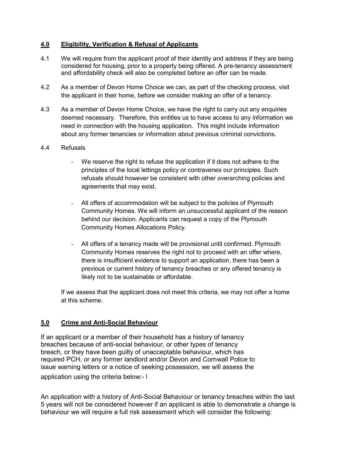## **4.0 Eligibility, Verification & Refusal of Applicants**

- 4.1 We will require from the applicant proof of their identity and address if they are being considered for housing, prior to a property being offered. A pre-tenancy assessment and affordability check will also be completed before an offer can be made.
- 4.2 As a member of Devon Home Choice we can, as part of the checking process, visit the applicant in their home, before we consider making an offer of a tenancy.
- 4.3 As a member of Devon Home Choice, we have the right to carry out any enquiries deemed necessary. Therefore, this entitles us to have access to any information we need in connection with the housing application. This might include information about any former tenancies or information about previous criminal convictions.

#### 4.4 Refusals

- We reserve the right to refuse the application if it does not adhere to the principles of the local lettings policy or contravenes our principles. Such refusals should however be consistent with other overarching policies and agreements that may exist.
- All offers of accommodation will be subject to the policies of Plymouth Community Homes. We will inform an unsuccessful applicant of the reason behind our decision. Applicants can request a copy of the Plymouth Community Homes Allocations Policy.
- All offers of a tenancy made will be provisional until confirmed. Plymouth Community Homes reserves the right not to proceed with an offer where, there is insufficient evidence to support an application, there has been a previous or current history of tenancy breaches or any offered tenancy is likely not to be sustainable or affordable.

If we assess that the applicant does not meet this criteria, we may not offer a home at this scheme.

## **5.0 Crime and Anti-Social Behaviour**

If an applicant or a member of their household has a history of tenancy breaches because of anti-social behaviour, or other types of tenancy breach, or they have been guilty of unacceptable behaviour, which has required PCH, or any former landlord and/or Devon and Cornwall Police to issue warning letters or a notice of seeking possession, we will assess the application using the criteria below:- I

An application with a history of Anti-Social Behaviour or tenancy breaches within the last 5 years will not be considered however if an applicant is able to demonstrate a change is behaviour we will require a full risk assessment which will consider the following: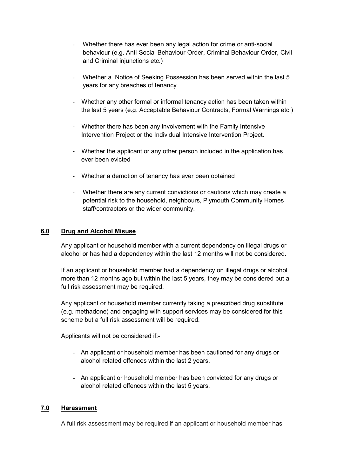- Whether there has ever been any legal action for crime or anti-social behaviour (e.g. Anti-Social Behaviour Order, Criminal Behaviour Order, Civil and Criminal injunctions etc.)
- Whether a Notice of Seeking Possession has been served within the last 5 years for any breaches of tenancy
- Whether any other formal or informal tenancy action has been taken within the last 5 years (e.g. Acceptable Behaviour Contracts, Formal Warnings etc.)
- Whether there has been any involvement with the Family Intensive Intervention Project or the Individual Intensive Intervention Project.
- Whether the applicant or any other person included in the application has ever been evicted
- Whether a demotion of tenancy has ever been obtained
- Whether there are any current convictions or cautions which may create a potential risk to the household, neighbours, Plymouth Community Homes staff/contractors or the wider community.

#### **6.0 Drug and Alcohol Misuse**

Any applicant or household member with a current dependency on illegal drugs or alcohol or has had a dependency within the last 12 months will not be considered.

If an applicant or household member had a dependency on illegal drugs or alcohol more than 12 months ago but within the last 5 years, they may be considered but a full risk assessment may be required.

Any applicant or household member currently taking a prescribed drug substitute (e.g. methadone) and engaging with support services may be considered for this scheme but a full risk assessment will be required.

Applicants will not be considered if:-

- An applicant or household member has been cautioned for any drugs or alcohol related offences within the last 2 years.
- An applicant or household member has been convicted for any drugs or alcohol related offences within the last 5 years.

## **7.0 Harassment**

A full risk assessment may be required if an applicant or household member has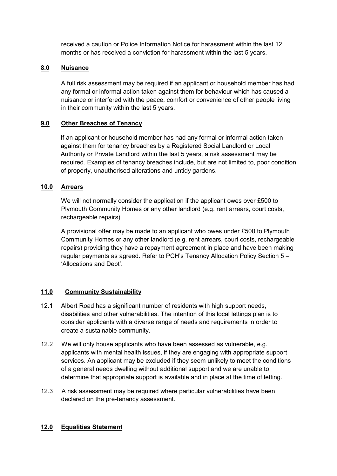received a caution or Police Information Notice for harassment within the last 12 months or has received a conviction for harassment within the last 5 years.

## **8.0 Nuisance**

A full risk assessment may be required if an applicant or household member has had any formal or informal action taken against them for behaviour which has caused a nuisance or interfered with the peace, comfort or convenience of other people living in their community within the last 5 years.

#### **9.0 Other Breaches of Tenancy**

If an applicant or household member has had any formal or informal action taken against them for tenancy breaches by a Registered Social Landlord or Local Authority or Private Landlord within the last 5 years, a risk assessment may be required. Examples of tenancy breaches include, but are not limited to, poor condition of property, unauthorised alterations and untidy gardens.

## **10.0 Arrears**

We will not normally consider the application if the applicant owes over £500 to Plymouth Community Homes or any other landlord (e.g. rent arrears, court costs, rechargeable repairs)

A provisional offer may be made to an applicant who owes under £500 to Plymouth Community Homes or any other landlord (e.g. rent arrears, court costs, rechargeable repairs) providing they have a repayment agreement in place and have been making regular payments as agreed. Refer to PCH's Tenancy Allocation Policy Section 5 – 'Allocations and Debt'.

## **11.0 Community Sustainability**

- 12.1 Albert Road has a significant number of residents with high support needs, disabilities and other vulnerabilities. The intention of this local lettings plan is to consider applicants with a diverse range of needs and requirements in order to create a sustainable community.
- 12.2 We will only house applicants who have been assessed as vulnerable, e.g. applicants with mental health issues, if they are engaging with appropriate support services. An applicant may be excluded if they seem unlikely to meet the conditions of a general needs dwelling without additional support and we are unable to determine that appropriate support is available and in place at the time of letting.
- 12.3 A risk assessment may be required where particular vulnerabilities have been declared on the pre-tenancy assessment.

#### **12.0 Equalities Statement**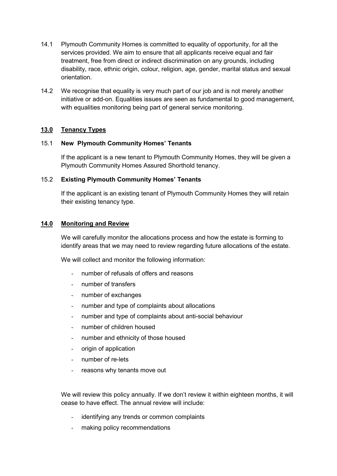- 14.1 Plymouth Community Homes is committed to equality of opportunity, for all the services provided. We aim to ensure that all applicants receive equal and fair treatment, free from direct or indirect discrimination on any grounds, including disability, race, ethnic origin, colour, religion, age, gender, marital status and sexual orientation.
- 14.2 We recognise that equality is very much part of our job and is not merely another initiative or add-on. Equalities issues are seen as fundamental to good management, with equalities monitoring being part of general service monitoring.

#### **13.0 Tenancy Types**

#### 15.1 **New Plymouth Community Homes' Tenants**

If the applicant is a new tenant to Plymouth Community Homes, they will be given a Plymouth Community Homes Assured Shorthold tenancy.

#### 15.2 **Existing Plymouth Community Homes' Tenants**

If the applicant is an existing tenant of Plymouth Community Homes they will retain their existing tenancy type.

#### **14.0 Monitoring and Review**

We will carefully monitor the allocations process and how the estate is forming to identify areas that we may need to review regarding future allocations of the estate.

We will collect and monitor the following information:

- number of refusals of offers and reasons
- number of transfers
- number of exchanges
- number and type of complaints about allocations
- number and type of complaints about anti-social behaviour
- number of children housed
- number and ethnicity of those housed
- origin of application
- number of re-lets
- reasons why tenants move out

We will review this policy annually. If we don't review it within eighteen months, it will cease to have effect. The annual review will include:

- identifying any trends or common complaints
- making policy recommendations